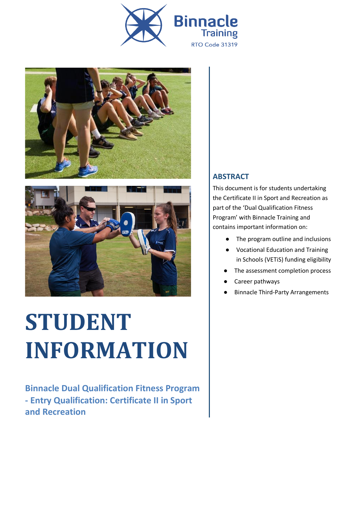





# **STUDENT INFORMATION**

**Binnacle Dual Qualification Fitness Program - Entry Qualification: Certificate II in Sport and Recreation**

#### **ABSTRACT**

This document is for students undertaking the Certificate II in Sport and Recreation as part of the 'Dual Qualification Fitness Program' with Binnacle Training and contains important information on:

- The program outline and inclusions
- Vocational Education and Training in Schools (VETiS) funding eligibility
- The assessment completion process
- Career pathways
- **Binnacle Third-Party Arrangements**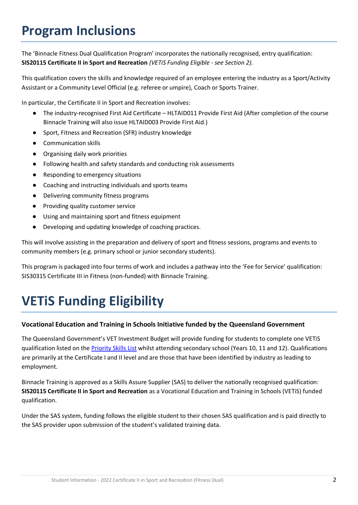### **Program Inclusions**

The 'Binnacle Fitness Dual Qualification Program' incorporates the nationally recognised, entry qualification: **SIS20115 Certificate II in Sport and Recreation** *(VETiS Funding Eligible - see Section 2).*

This qualification covers the skills and knowledge required of an employee entering the industry as a Sport/Activity Assistant or a Community Level Official (e.g. referee or umpire), Coach or Sports Trainer.

In particular, the Certificate II in Sport and Recreation involves:

- The industry-recognised First Aid Certificate HLTAID011 Provide First Aid (After completion of the course Binnacle Training will also issue HLTAID003 Provide First Aid.)
- Sport, Fitness and Recreation (SFR) industry knowledge
- Communication skills
- Organising daily work priorities
- Following health and safety standards and conducting risk assessments
- Responding to emergency situations
- Coaching and instructing individuals and sports teams
- Delivering community fitness programs
- Providing quality customer service
- Using and maintaining sport and fitness equipment
- Developing and updating knowledge of coaching practices.

This will involve assisting in the preparation and delivery of sport and fitness sessions, programs and events to community members (e.g. primary school or junior secondary students).

This program is packaged into four terms of work and includes a pathway into the 'Fee for Service' qualification: SIS30315 Certificate III in Fitness (non-funded) with Binnacle Training.

# **VETiS Funding Eligibility**

#### **Vocational Education and Training in Schools Initiative funded by the Queensland Government**

The Queensland Government's VET Investment Budget will provide funding for students to complete one VETiS qualification listed on the [Priority Skills List](https://desbt.qld.gov.au/training/docs-data/strategies/vetinvest/subsidieslist) whilst attending secondary school (Years 10, 11 and 12). Qualifications are primarily at the Certificate I and II level and are those that have been identified by industry as leading to employment.

Binnacle Training is approved as a Skills Assure Supplier (SAS) to deliver the nationally recognised qualification: **SIS20115 Certificate II in Sport and Recreation** as a Vocational Education and Training in Schools (VETiS) funded qualification.

Under the SAS system, funding follows the eligible student to their chosen SAS qualification and is paid directly to the SAS provider upon submission of the student's validated training data.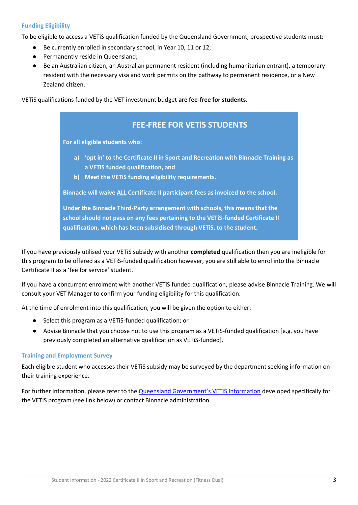#### **Funding Eligibility**

To be eligible to access a VETiS qualification funded by the Queensland Government, prospective students must:

- Be currently enrolled in secondary school, in Year 10, 11 or 12;
- Permanently reside in Queensland;
- Be an Australian citizen, an Australian permanent resident (including humanitarian entrant), a temporary resident with the necessary visa and work permits on the pathway to permanent residence, or a New Zealand citizen.

VETiS qualifications funded by the VET investment budget **are fee-free for students**.

### **FEE-FREE FOR VETiS STUDENTS For all eligible students who: a) 'opt in' to the Certificate II in Sport and Recreation with Binnacle Training as a VETiS funded qualification, and b) Meet the VETiS funding eligibility requirements. Binnacle will waive ALL Certificate II participant fees as invoiced to the school. Under the Binnacle Third-Party arrangement with schools, this means that the school should not pass on any fees pertaining to the VETiS-funded Certificate II qualification, which has been subsidised through VETiS, to the student.**

If you have previously utilised your VETiS subsidy with another **completed** qualification then you are ineligible for this program to be offered as a VETiS-funded qualification however, you are still able to enrol into the Binnacle Certificate II as a 'fee for service' student.

If you have a concurrent enrolment with another VETiS funded qualification, please advise Binnacle Training. We will consult your VET Manager to confirm your funding eligibility for this qualification.

At the time of enrolment into this qualification, you will be given the option to either:

- Select this program as a VETiS-funded qualification; or
- Advise Binnacle that you choose not to use this program as a VETiS-funded qualification [e.g. you have previously completed an alternative qualification as VETiS-funded].

#### **Training and Employment Survey**

Each eligible student who accesses their VETiS subsidy may be surveyed by the department seeking information on their training experience.

For further information, please refer to the Queensland Government's VETIS Information developed specifically for the VETiS program (see link below) or contact Binnacle administration.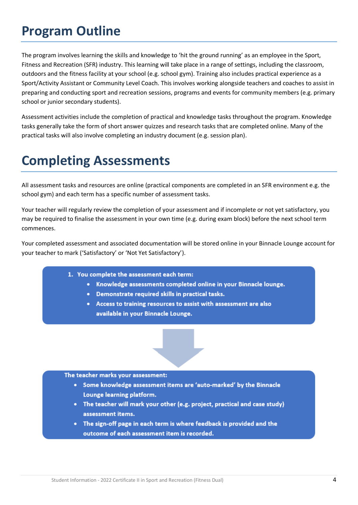### **Program Outline**

The program involves learning the skills and knowledge to 'hit the ground running' as an employee in the Sport, Fitness and Recreation (SFR) industry. This learning will take place in a range of settings, including the classroom, outdoors and the fitness facility at your school (e.g. school gym). Training also includes practical experience as a Sport/Activity Assistant or Community Level Coach. This involves working alongside teachers and coaches to assist in preparing and conducting sport and recreation sessions, programs and events for community members (e.g. primary school or junior secondary students).

Assessment activities include the completion of practical and knowledge tasks throughout the program. Knowledge tasks generally take the form of short answer quizzes and research tasks that are completed online. Many of the practical tasks will also involve completing an industry document (e.g. session plan).

### **Completing Assessments**

All assessment tasks and resources are online (practical components are completed in an SFR environment e.g. the school gym) and each term has a specific number of assessment tasks.

Your teacher will regularly review the completion of your assessment and if incomplete or not yet satisfactory, you may be required to finalise the assessment in your own time (e.g. during exam block) before the next school term commences.

Your completed assessment and associated documentation will be stored online in your Binnacle Lounge account for your teacher to mark ('Satisfactory' or 'Not Yet Satisfactory').

- 1. You complete the assessment each term:
	- Knowledge assessments completed online in your Binnacle lounge.
	- Demonstrate required skills in practical tasks.
	- Access to training resources to assist with assessment are also available in your Binnacle Lounge.

#### The teacher marks your assessment:

- Some knowledge assessment items are 'auto-marked' by the Binnacle Lounge learning platform.
- The teacher will mark your other (e.g. project, practical and case study) assessment items.
- The sign-off page in each term is where feedback is provided and the outcome of each assessment item is recorded.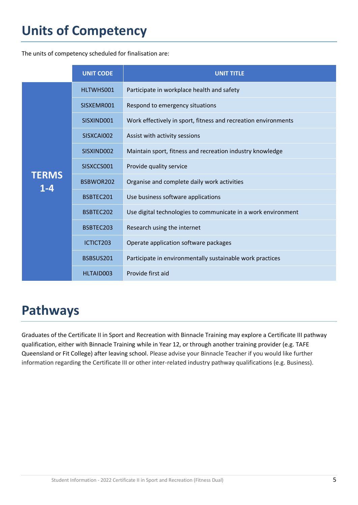# **Units of Competency**

The units of competency scheduled for finalisation are:

|                         | <b>UNIT CODE</b> | <b>UNIT TITLE</b>                                              |
|-------------------------|------------------|----------------------------------------------------------------|
| <b>TERMS</b><br>$1 - 4$ | HLTWHS001        | Participate in workplace health and safety                     |
|                         | SISXEMR001       | Respond to emergency situations                                |
|                         | SISXIND001       | Work effectively in sport, fitness and recreation environments |
|                         | SISXCAI002       | Assist with activity sessions                                  |
|                         | SISXIND002       | Maintain sport, fitness and recreation industry knowledge      |
|                         | SISXCCS001       | Provide quality service                                        |
|                         | BSBWOR202        | Organise and complete daily work activities                    |
|                         | BSBTEC201        | Use business software applications                             |
|                         | BSBTEC202        | Use digital technologies to communicate in a work environment  |
|                         | BSBTEC203        | Research using the internet                                    |
|                         | ICTICT203        | Operate application software packages                          |
|                         | BSBSUS201        | Participate in environmentally sustainable work practices      |
|                         | HLTAID003        | Provide first aid                                              |

## **Pathways**

Graduates of the Certificate II in Sport and Recreation with Binnacle Training may explore a Certificate III pathway qualification, either with Binnacle Training while in Year 12, or through another training provider (e.g. TAFE Queensland or Fit College) after leaving school. Please advise your Binnacle Teacher if you would like further information regarding the Certificate III or other inter-related industry pathway qualifications (e.g. Business).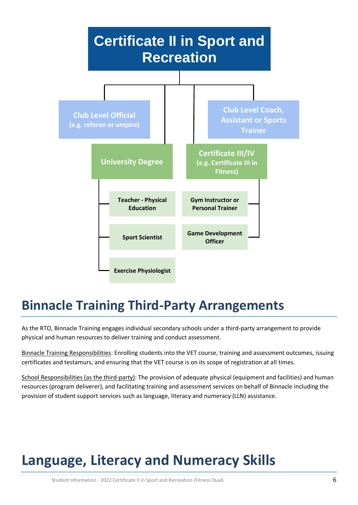

### **Binnacle Training Third-Party Arrangements**

As the RTO, Binnacle Training engages individual secondary schools under a third-party arrangement to provide physical and human resources to deliver training and conduct assessment.

Binnacle Training Responsibilities: Enrolling students into the VET course, training and assessment outcomes, issuing certificates and testamurs, and ensuring that the VET course is on its scope of registration at all times.

School Responsibilities (as the third-party): The provision of adequate physical (equipment and facilities) and human resources (program deliverer), and facilitating training and assessment services on behalf of Binnacle including the provision of student support services such as language, literacy and numeracy (LLN) assistance.

# **Language, Literacy and Numeracy Skills**